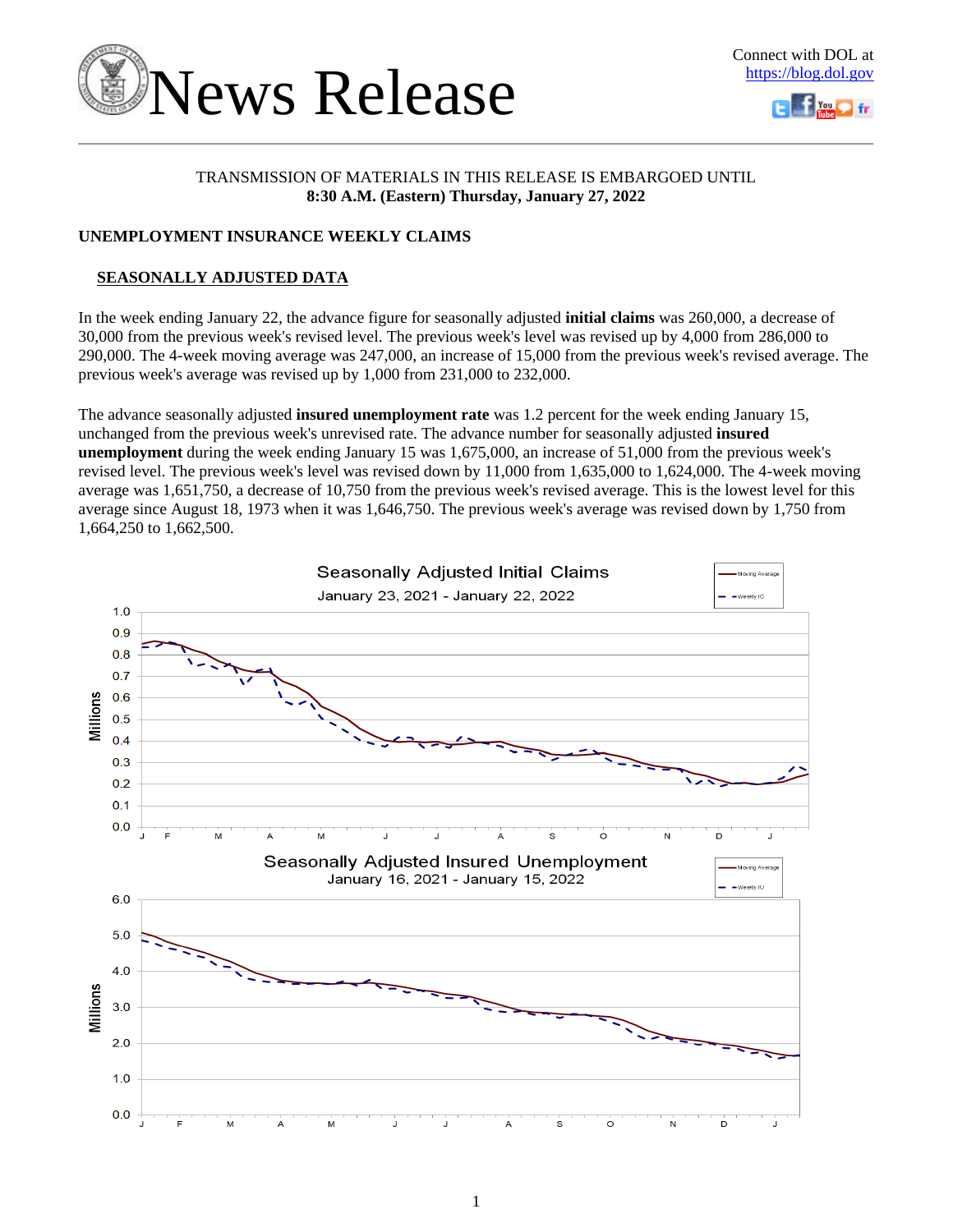



# TRANSMISSION OF MATERIALS IN THIS RELEASE IS EMBARGOED UNTIL **8:30 A.M. (Eastern) Thursday, January 27, 2022**

# **UNEMPLOYMENT INSURANCE WEEKLY CLAIMS**

# **SEASONALLY ADJUSTED DATA**

In the week ending January 22, the advance figure for seasonally adjusted **initial claims** was 260,000, a decrease of 30,000 from the previous week's revised level. The previous week's level was revised up by 4,000 from 286,000 to 290,000. The 4-week moving average was 247,000, an increase of 15,000 from the previous week's revised average. The previous week's average was revised up by 1,000 from 231,000 to 232,000.

The advance seasonally adjusted **insured unemployment rate** was 1.2 percent for the week ending January 15, unchanged from the previous week's unrevised rate. The advance number for seasonally adjusted **insured unemployment** during the week ending January 15 was 1,675,000, an increase of 51,000 from the previous week's revised level. The previous week's level was revised down by 11,000 from 1,635,000 to 1,624,000. The 4-week moving average was 1,651,750, a decrease of 10,750 from the previous week's revised average. This is the lowest level for this average since August 18, 1973 when it was 1,646,750. The previous week's average was revised down by 1,750 from 1,664,250 to 1,662,500.

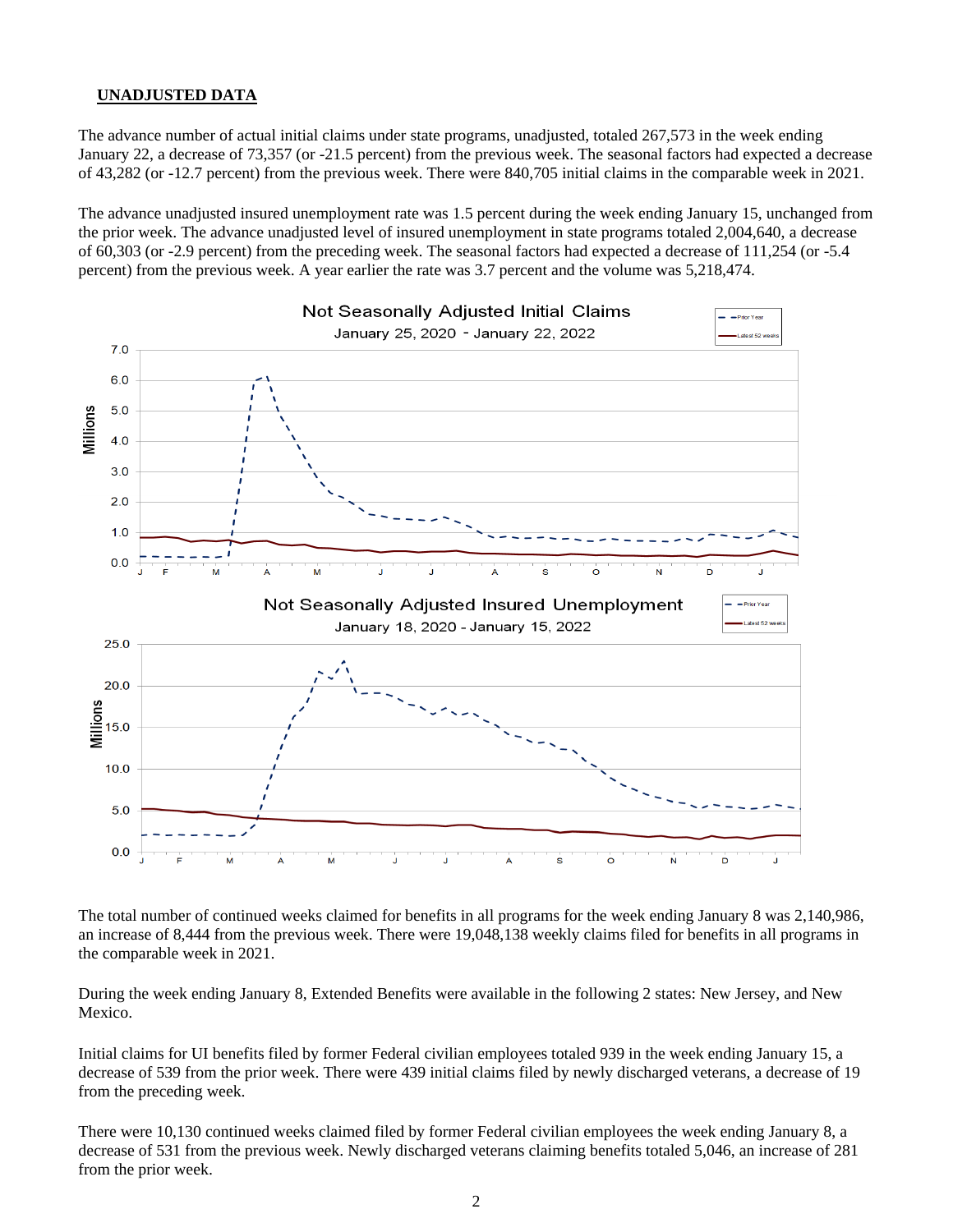#### **UNADJUSTED DATA**

The advance number of actual initial claims under state programs, unadjusted, totaled 267,573 in the week ending January 22, a decrease of 73,357 (or -21.5 percent) from the previous week. The seasonal factors had expected a decrease of 43,282 (or -12.7 percent) from the previous week. There were 840,705 initial claims in the comparable week in 2021.

The advance unadjusted insured unemployment rate was 1.5 percent during the week ending January 15, unchanged from the prior week. The advance unadjusted level of insured unemployment in state programs totaled 2,004,640, a decrease of 60,303 (or -2.9 percent) from the preceding week. The seasonal factors had expected a decrease of 111,254 (or -5.4 percent) from the previous week. A year earlier the rate was 3.7 percent and the volume was 5,218,474.



The total number of continued weeks claimed for benefits in all programs for the week ending January 8 was 2,140,986, an increase of 8,444 from the previous week. There were 19,048,138 weekly claims filed for benefits in all programs in the comparable week in 2021.

During the week ending January 8, Extended Benefits were available in the following 2 states: New Jersey, and New Mexico.

Initial claims for UI benefits filed by former Federal civilian employees totaled 939 in the week ending January 15, a decrease of 539 from the prior week. There were 439 initial claims filed by newly discharged veterans, a decrease of 19 from the preceding week.

There were 10,130 continued weeks claimed filed by former Federal civilian employees the week ending January 8, a decrease of 531 from the previous week. Newly discharged veterans claiming benefits totaled 5,046, an increase of 281 from the prior week.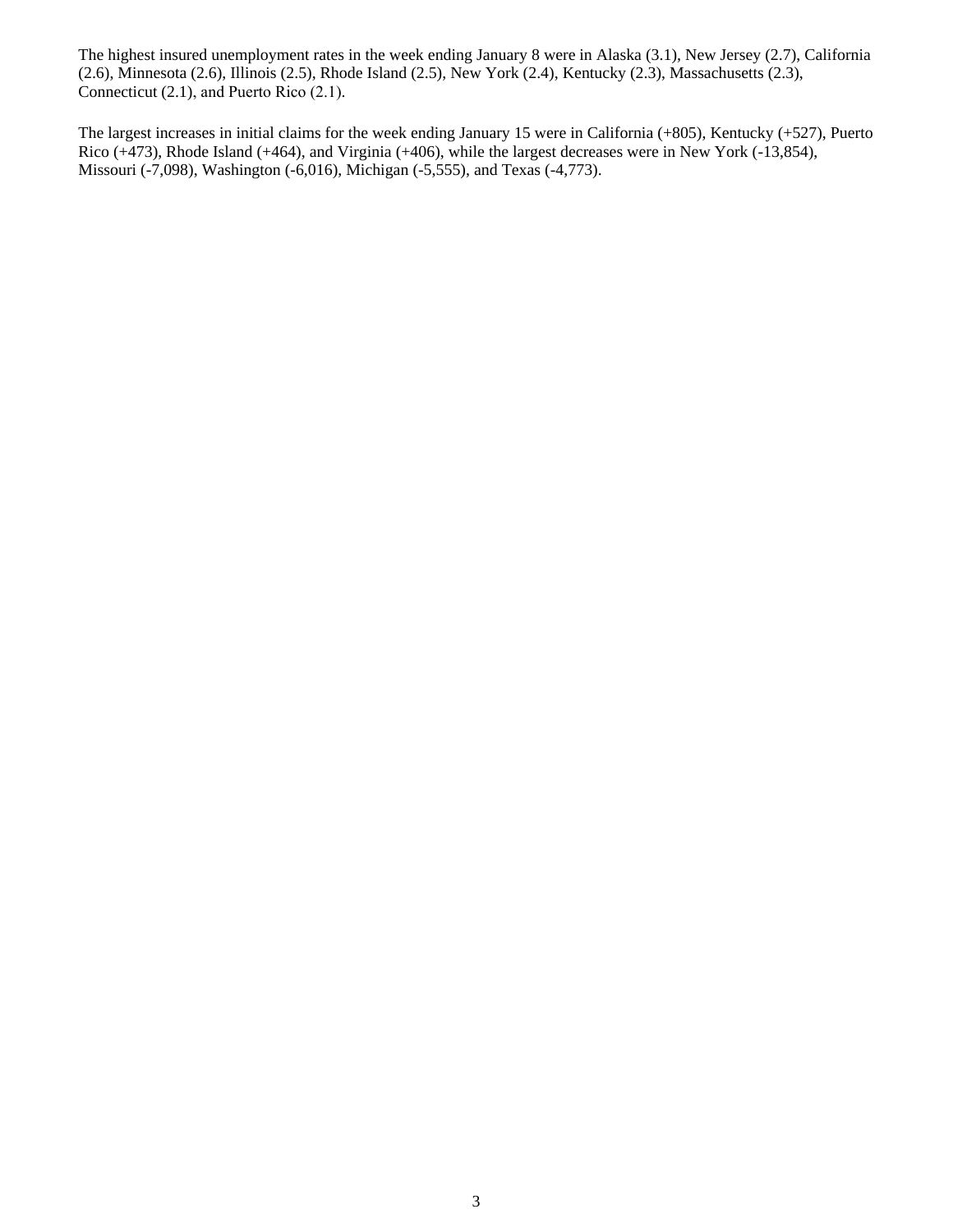The highest insured unemployment rates in the week ending January 8 were in Alaska (3.1), New Jersey (2.7), California (2.6), Minnesota (2.6), Illinois (2.5), Rhode Island (2.5), New York (2.4), Kentucky (2.3), Massachusetts (2.3), Connecticut (2.1), and Puerto Rico (2.1).

The largest increases in initial claims for the week ending January 15 were in California (+805), Kentucky (+527), Puerto Rico (+473), Rhode Island (+464), and Virginia (+406), while the largest decreases were in New York (-13,854), Missouri (-7,098), Washington (-6,016), Michigan (-5,555), and Texas (-4,773).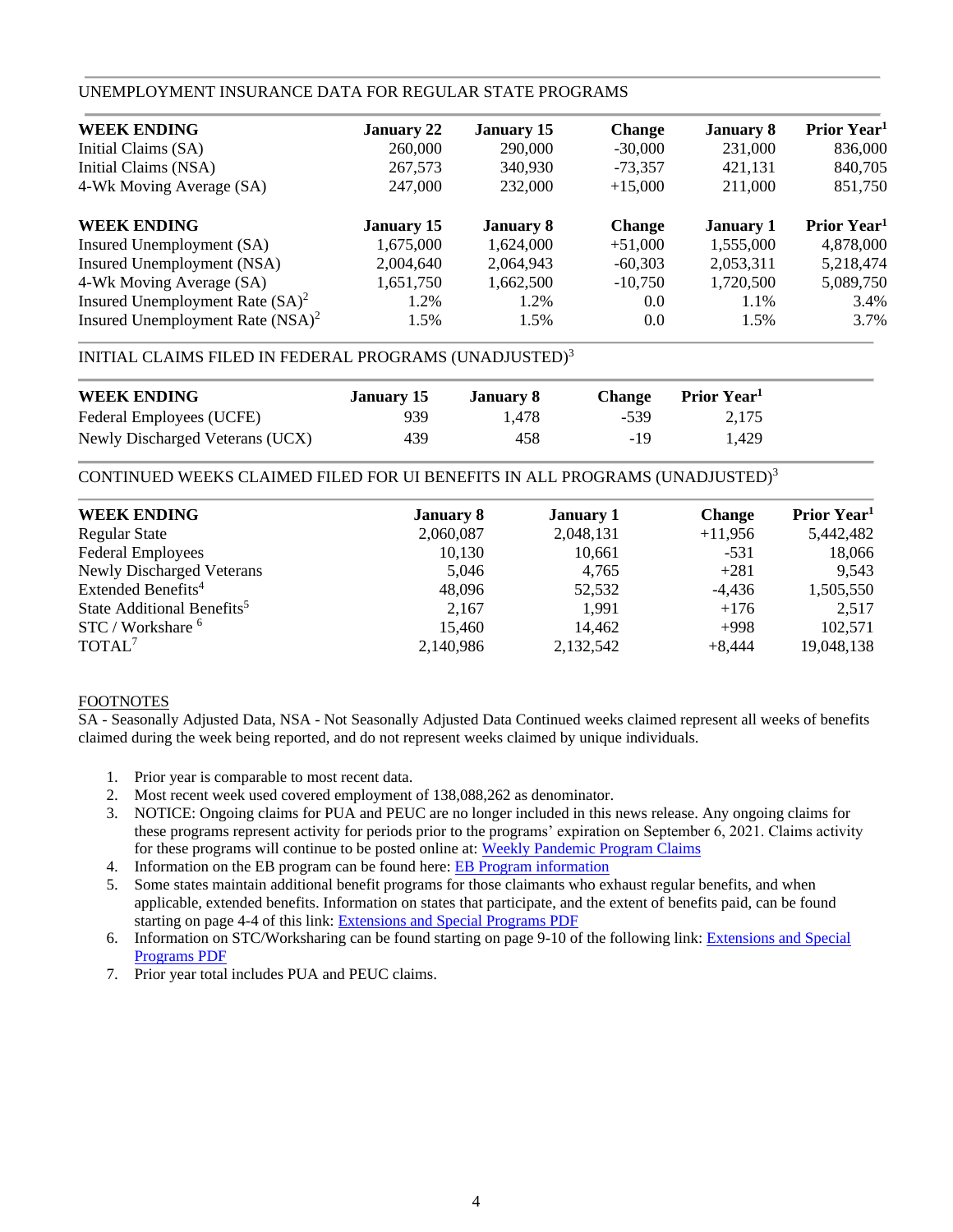# UNEMPLOYMENT INSURANCE DATA FOR REGULAR STATE PROGRAMS

| <b>January 22</b> | <b>January 15</b> | <b>Change</b> | <b>January 8</b> | Prior Year <sup>1</sup> |
|-------------------|-------------------|---------------|------------------|-------------------------|
| 260,000           | 290,000           | $-30,000$     | 231,000          | 836,000                 |
| 267,573           | 340,930           | $-73.357$     | 421.131          | 840,705                 |
| 247,000           | 232,000           | $+15,000$     | 211,000          | 851,750                 |
| <b>January 15</b> | <b>January 8</b>  | <b>Change</b> | <b>January 1</b> | Prior Year <sup>1</sup> |
| 1,675,000         | 1,624,000         | $+51,000$     | 1,555,000        | 4,878,000               |
| 2,004,640         | 2,064,943         | $-60.303$     | 2,053,311        | 5,218,474               |
| 1,651,750         | 1,662,500         | $-10.750$     | 1,720,500        | 5,089,750               |
| 1.2%              | 1.2%              | 0.0           | 1.1%             | 3.4%                    |
| 1.5%              | 1.5%              | 0.0           | 1.5%             | 3.7%                    |
|                   |                   |               |                  |                         |

# INITIAL CLAIMS FILED IN FEDERAL PROGRAMS (UNADJUSTED)<sup>3</sup>

| <b>WEEK ENDING</b>              | January 15 | January 8 | <b>Change</b> | Prior Year <sup>1</sup> |  |
|---------------------------------|------------|-----------|---------------|-------------------------|--|
| Federal Employees (UCFE)        | 939        | 1.478     | -539          | 2.175                   |  |
| Newly Discharged Veterans (UCX) | 439        | 458       | -19           | 1.429                   |  |

CONTINUED WEEKS CLAIMED FILED FOR UI BENEFITS IN ALL PROGRAMS (UNADJUSTED)<sup>3</sup>

| <b>WEEK ENDING</b>                     | <b>January 8</b> | <b>January 1</b> | <b>Change</b> | Prior Year <sup>1</sup> |
|----------------------------------------|------------------|------------------|---------------|-------------------------|
| <b>Regular State</b>                   | 2,060,087        | 2,048,131        | $+11,956$     | 5,442,482               |
| <b>Federal Employees</b>               | 10,130           | 10,661           | $-531$        | 18,066                  |
| <b>Newly Discharged Veterans</b>       | 5,046            | 4.765            | $+281$        | 9,543                   |
| Extended Benefits <sup>4</sup>         | 48,096           | 52,532           | $-4,436$      | 1,505,550               |
| State Additional Benefits <sup>5</sup> | 2,167            | 1.991            | $+176$        | 2,517                   |
| STC / Workshare <sup>6</sup>           | 15,460           | 14,462           | $+998$        | 102,571                 |
| TOTAL <sup>7</sup>                     | 2,140,986        | 2,132,542        | $+8,444$      | 19,048,138              |
|                                        |                  |                  |               |                         |

#### FOOTNOTES

SA - Seasonally Adjusted Data, NSA - Not Seasonally Adjusted Data Continued weeks claimed represent all weeks of benefits claimed during the week being reported, and do not represent weeks claimed by unique individuals.

- 1. Prior year is comparable to most recent data.
- 2. Most recent week used covered employment of 138,088,262 as denominator.
- 3. NOTICE: Ongoing claims for PUA and PEUC are no longer included in this news release. Any ongoing claims for these programs represent activity for periods prior to the programs' expiration on September 6, 2021. Claims activity for these programs will continue to be posted online at[: Weekly Pandemic Program Claims](https://oui.doleta.gov/unemploy/docs/weekly_pandemic_claims.xlsx)
- 4. Information on the EB program can be found here: [EB Program information](https://oui.doleta.gov/unemploy/extenben.asp)
- 5. Some states maintain additional benefit programs for those claimants who exhaust regular benefits, and when applicable, extended benefits. Information on states that participate, and the extent of benefits paid, can be found starting on page 4-4 of this link: [Extensions and Special Programs PDF](https://oui.doleta.gov/unemploy/pdf/uilawcompar/2020/special.pdf#page=4)
- 6. Information on STC/Worksharing can be found starting on page 9-10 of the following link: [Extensions and Special](https://oui.doleta.gov/unemploy/pdf/uilawcompar/2020/special.pdf#page=9)  [Programs PDF](https://oui.doleta.gov/unemploy/pdf/uilawcompar/2020/special.pdf#page=9)
- 7. Prior year total includes PUA and PEUC claims.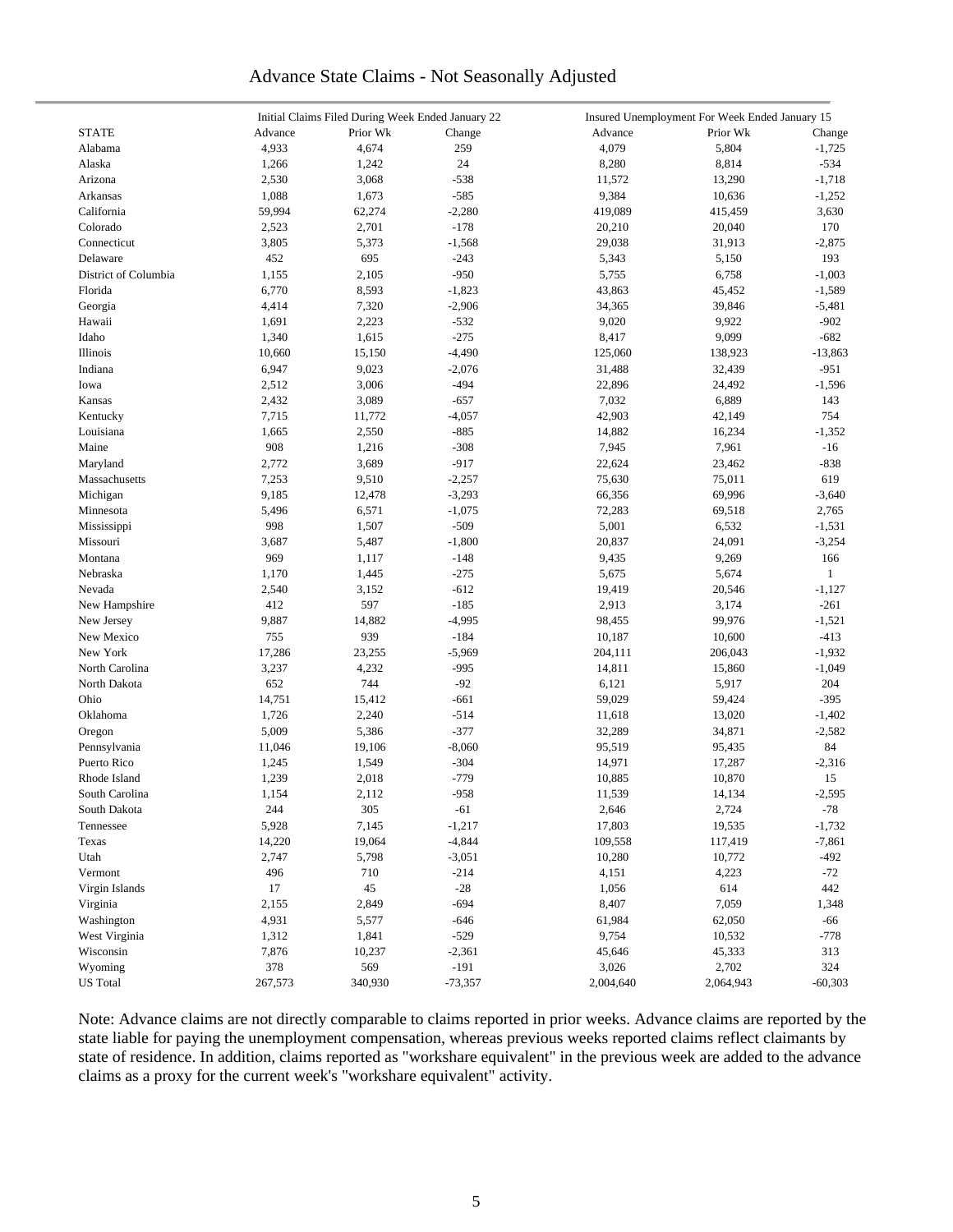# Advance State Claims - Not Seasonally Adjusted

|                      |         | Initial Claims Filed During Week Ended January 22 |                  | Insured Unemployment For Week Ended January 15 |                 |              |  |  |
|----------------------|---------|---------------------------------------------------|------------------|------------------------------------------------|-----------------|--------------|--|--|
| <b>STATE</b>         | Advance | Prior Wk                                          | Change           | Advance                                        | Prior Wk        | Change       |  |  |
| Alabama              | 4,933   | 4,674                                             | 259              | 4,079                                          | 5,804           | $-1,725$     |  |  |
| Alaska               | 1,266   | 1,242                                             | 24               | 8,280                                          | 8,814           | $-534$       |  |  |
| Arizona              | 2,530   | 3,068                                             | $-538$           | 11,572                                         | 13,290          | $-1,718$     |  |  |
| Arkansas             | 1,088   | 1,673                                             | $-585$           | 9,384                                          | 10,636          | $-1,252$     |  |  |
| California           | 59,994  | 62,274                                            | $-2,280$         | 419,089                                        | 415,459         | 3,630        |  |  |
| Colorado             | 2,523   | 2,701                                             | $-178$           | 20,210                                         | 20,040          | 170          |  |  |
| Connecticut          | 3,805   | 5,373                                             | $-1,568$         | 29,038                                         | 31,913          | $-2,875$     |  |  |
| Delaware             | 452     | 695                                               | $-243$           | 5,343                                          | 5,150           | 193          |  |  |
| District of Columbia | 1,155   | 2,105                                             | $-950$           | 5,755                                          | 6,758           | $-1,003$     |  |  |
| Florida              | 6,770   | 8,593                                             | $-1,823$         | 43,863                                         | 45,452          | $-1,589$     |  |  |
| Georgia              | 4,414   | 7,320                                             | $-2,906$         | 34,365                                         | 39,846          | $-5,481$     |  |  |
| Hawaii               | 1,691   | 2,223                                             | $-532$           | 9,020                                          | 9,922           | $-902$       |  |  |
| Idaho                | 1,340   | 1,615                                             | $-275$           | 8,417                                          | 9,099           | $-682$       |  |  |
| Illinois             | 10,660  | 15,150                                            | $-4,490$         | 125,060                                        | 138,923         | $-13,863$    |  |  |
| Indiana              | 6,947   | 9,023                                             | $-2,076$         | 31,488                                         | 32,439          | $-951$       |  |  |
| Iowa                 | 2,512   | 3,006                                             | $-494$           | 22,896                                         | 24,492          | $-1,596$     |  |  |
| Kansas               | 2,432   | 3,089                                             | $-657$           | 7,032                                          | 6,889           | 143          |  |  |
| Kentucky             | 7,715   | 11,772                                            | $-4,057$         | 42,903                                         | 42,149          | 754          |  |  |
| Louisiana            | 1,665   | 2,550                                             | $-885$           | 14,882                                         | 16,234          | $-1,352$     |  |  |
| Maine                | 908     | 1,216                                             | $-308$           | 7,945                                          | 7,961           | $-16$        |  |  |
| Maryland             | 2,772   | 3,689                                             | $-917$           | 22,624                                         | 23,462          | $-838$       |  |  |
| Massachusetts        | 7,253   | 9,510                                             | $-2,257$         | 75,630                                         | 75,011          | 619          |  |  |
| Michigan             | 9,185   | 12,478                                            | $-3,293$         | 66,356                                         | 69,996          | $-3,640$     |  |  |
| Minnesota            | 5,496   | 6,571                                             | $-1,075$         | 72,283                                         | 69,518          | 2,765        |  |  |
| Mississippi          | 998     | 1,507                                             | $-509$           | 5,001                                          | 6,532           | $-1,531$     |  |  |
| Missouri             | 3,687   | 5,487                                             | $-1,800$         | 20,837                                         | 24,091          | $-3,254$     |  |  |
| Montana              | 969     | 1,117                                             | $-148$           | 9,435                                          | 9,269           | 166          |  |  |
| Nebraska             | 1,170   | 1,445                                             | $-275$           | 5,675                                          | 5,674           | $\mathbf{1}$ |  |  |
| Nevada               | 2,540   | 3,152                                             | $-612$           | 19,419                                         | 20,546          | $-1,127$     |  |  |
| New Hampshire        | 412     | 597                                               | $-185$           | 2,913                                          | 3,174           | $-261$       |  |  |
| New Jersey           | 9,887   | 14,882                                            | $-4,995$         | 98,455                                         | 99,976          | $-1,521$     |  |  |
| New Mexico           | 755     | 939                                               | $-184$           | 10,187                                         | 10,600          | $-413$       |  |  |
| New York             | 17,286  | 23,255                                            | $-5,969$         | 204,111                                        | 206,043         | $-1,932$     |  |  |
| North Carolina       | 3,237   | 4,232                                             | $-995$           | 14,811                                         |                 | $-1,049$     |  |  |
| North Dakota         | 652     | 744                                               | $-92$            | 6,121                                          | 15,860<br>5,917 | 204          |  |  |
|                      |         |                                                   |                  |                                                |                 |              |  |  |
| Ohio                 | 14,751  | 15,412                                            | $-661$           | 59,029                                         | 59,424          | $-395$       |  |  |
| Oklahoma             | 1,726   | 2,240                                             | $-514$<br>$-377$ | 11,618                                         | 13,020          | $-1,402$     |  |  |
| Oregon               | 5,009   | 5,386                                             |                  | 32,289                                         | 34,871          | $-2,582$     |  |  |
| Pennsylvania         | 11,046  | 19,106                                            | $-8,060$         | 95,519                                         | 95,435          | 84           |  |  |
| Puerto Rico          | 1,245   | 1,549                                             | $-304$           | 14,971                                         | 17,287          | $-2,316$     |  |  |
| Rhode Island         | 1,239   | 2,018                                             | $-779$<br>$-958$ | 10,885                                         | 10,870          | 15           |  |  |
| South Carolina       | 1,154   | 2,112                                             |                  | 11,539                                         | 14,134          | $-2,595$     |  |  |
| South Dakota         | 244     | 305                                               | $-61$            | 2,646                                          | 2,724           | $-78$        |  |  |
| Tennessee            | 5,928   | 7,145                                             | $-1,217$         | 17,803                                         | 19,535          | $-1,732$     |  |  |
| Texas                | 14,220  | 19,064                                            | $-4,844$         | 109,558                                        | 117,419         | $-7,861$     |  |  |
| Utah                 | 2,747   | 5,798                                             | $-3,051$         | 10,280                                         | 10,772          | $-492$       |  |  |
| Vermont              | 496     | 710                                               | $-214$           | 4,151                                          | 4,223           | $-72$        |  |  |
| Virgin Islands       | 17      | 45                                                | $-28$            | 1,056                                          | 614             | 442          |  |  |
| Virginia             | 2,155   | 2,849                                             | $-694$           | 8,407                                          | 7,059           | 1,348        |  |  |
| Washington           | 4,931   | 5,577                                             | $-646$           | 61,984                                         | 62,050          | -66          |  |  |
| West Virginia        | 1,312   | 1,841                                             | $-529$           | 9,754                                          | 10,532          | $-778$       |  |  |
| Wisconsin            | 7,876   | 10,237                                            | $-2,361$         | 45,646                                         | 45,333          | 313          |  |  |
| Wyoming              | 378     | 569                                               | $-191$           | 3,026                                          | 2,702           | 324          |  |  |
| <b>US</b> Total      | 267,573 | 340,930                                           | $-73,357$        | 2,004,640                                      | 2,064,943       | $-60,303$    |  |  |

Note: Advance claims are not directly comparable to claims reported in prior weeks. Advance claims are reported by the state liable for paying the unemployment compensation, whereas previous weeks reported claims reflect claimants by state of residence. In addition, claims reported as "workshare equivalent" in the previous week are added to the advance claims as a proxy for the current week's "workshare equivalent" activity.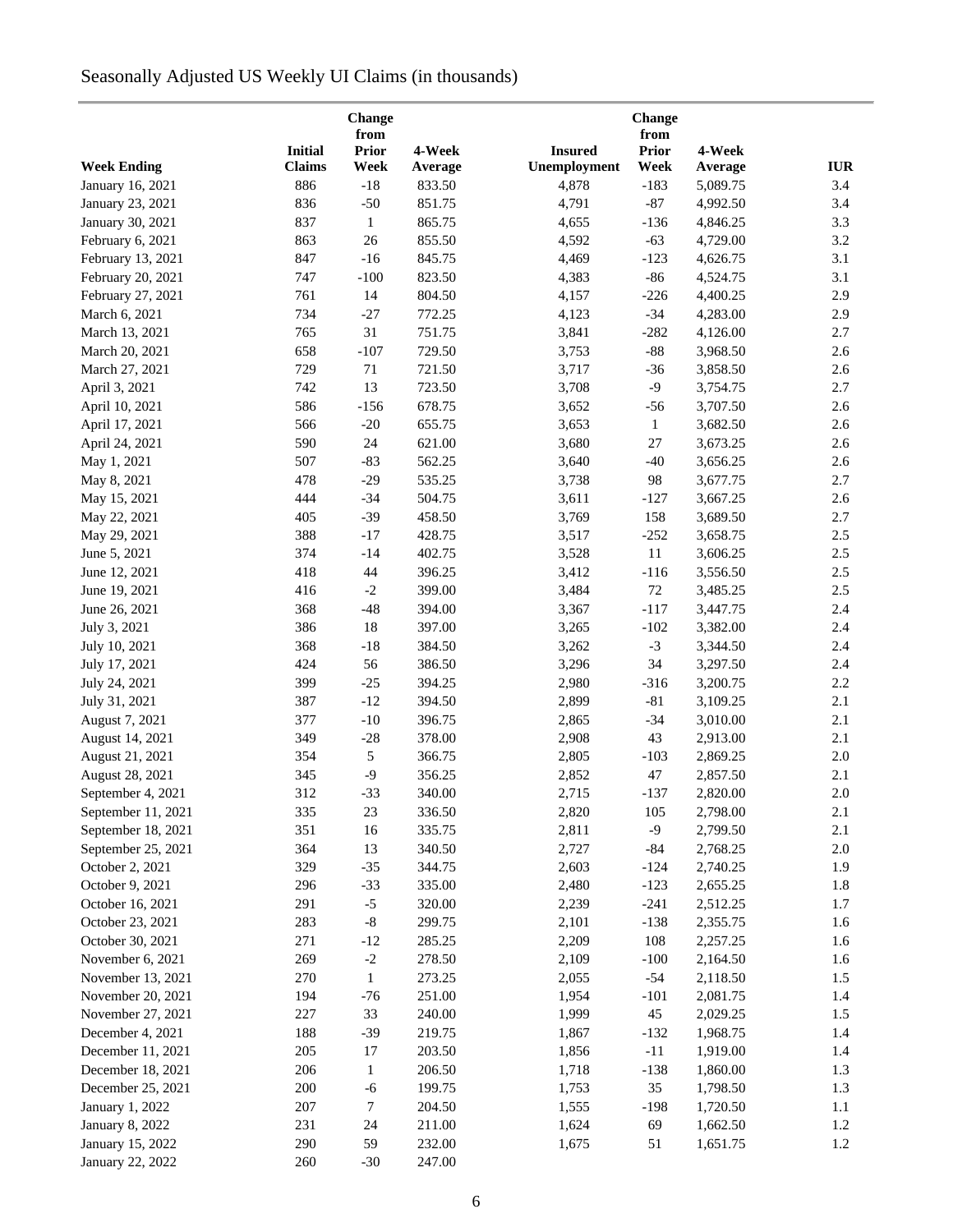# Seasonally Adjusted US Weekly UI Claims (in thousands)

|                        |                | Change<br>from    |         |                | Change<br>from |                      |            |
|------------------------|----------------|-------------------|---------|----------------|----------------|----------------------|------------|
|                        | <b>Initial</b> | <b>Prior</b>      | 4-Week  | <b>Insured</b> | <b>Prior</b>   | 4-Week               |            |
| <b>Week Ending</b>     | <b>Claims</b>  | Week              | Average | Unemployment   | Week           | Average              | <b>IUR</b> |
| January 16, 2021       | 886            | $-18$             | 833.50  | 4,878          | $-183$         | 5,089.75             | 3.4        |
| January 23, 2021       | 836            | $-50$             | 851.75  | 4,791          | $-87$          | 4,992.50             | 3.4        |
| January 30, 2021       | 837            | $\mathbf{1}$      | 865.75  | 4,655          | $-136$         | 4,846.25             | 3.3        |
| February 6, 2021       | 863            | 26                | 855.50  | 4,592          | $-63$          | 4,729.00             | 3.2        |
| February 13, 2021      | 847            | $-16$             | 845.75  | 4,469          | $-123$         | 4,626.75             | 3.1        |
| February 20, 2021      | 747            | $-100$            | 823.50  | 4,383          | $-86$          | 4,524.75             | 3.1        |
| February 27, 2021      | 761            | 14                | 804.50  | 4,157          | $-226$         | 4,400.25             | 2.9        |
| March 6, 2021          | 734            |                   | 772.25  |                | $-34$          |                      | 2.9        |
| March 13, 2021         | 765            | $-27$<br>31       | 751.75  | 4,123<br>3,841 | $-282$         | 4,283.00<br>4,126.00 | 2.7        |
|                        | 658            | $-107$            | 729.50  |                | $-88$          |                      | 2.6        |
| March 20, 2021         |                |                   |         | 3,753          |                | 3,968.50             |            |
| March 27, 2021         | 729            | $71\,$            | 721.50  | 3,717          | $-36$          | 3,858.50             | 2.6        |
| April 3, 2021          | 742            | 13                | 723.50  | 3,708          | $-9$           | 3,754.75             | 2.7        |
| April 10, 2021         | 586            | $-156$            | 678.75  | 3,652          | $-56$          | 3,707.50             | 2.6        |
| April 17, 2021         | 566            | $-20$             | 655.75  | 3,653          | $\mathbf{1}$   | 3,682.50             | 2.6        |
| April 24, 2021         | 590            | 24                | 621.00  | 3,680          | 27             | 3,673.25             | 2.6        |
| May 1, 2021            | 507            | $-83$             | 562.25  | 3,640          | $-40$          | 3,656.25             | 2.6        |
| May 8, 2021            | 478            | $-29$             | 535.25  | 3,738          | 98             | 3,677.75             | 2.7        |
| May 15, 2021           | 444            | $-34$             | 504.75  | 3,611          | $-127$         | 3,667.25             | 2.6        |
| May 22, 2021           | 405            | $-39$             | 458.50  | 3,769          | 158            | 3,689.50             | 2.7        |
| May 29, 2021           | 388            | $-17$             | 428.75  | 3,517          | $-252$         | 3,658.75             | $2.5\,$    |
| June 5, 2021           | 374            | $-14$             | 402.75  | 3,528          | $11\,$         | 3,606.25             | 2.5        |
| June 12, 2021          | 418            | 44                | 396.25  | 3,412          | $-116$         | 3,556.50             | 2.5        |
| June 19, 2021          | 416            | $\textnormal{-}2$ | 399.00  | 3,484          | 72             | 3,485.25             | 2.5        |
| June 26, 2021          | 368            | $-48$             | 394.00  | 3,367          | $-117$         | 3,447.75             | 2.4        |
| July 3, 2021           | 386            | 18                | 397.00  | 3,265          | $-102$         | 3,382.00             | 2.4        |
| July 10, 2021          | 368            | $-18$             | 384.50  | 3,262          | $-3$           | 3,344.50             | 2.4        |
| July 17, 2021          | 424            | 56                | 386.50  | 3,296          | 34             | 3,297.50             | 2.4        |
| July 24, 2021          | 399            | $-25$             | 394.25  | 2,980          | $-316$         | 3,200.75             | 2.2        |
| July 31, 2021          | 387            | $-12$             | 394.50  | 2,899          | $-81$          | 3,109.25             | 2.1        |
| August 7, 2021         | 377            | $-10$             | 396.75  | 2,865          | $-34$          | 3,010.00             | 2.1        |
| August 14, 2021        | 349            | $-28$             | 378.00  | 2,908          | 43             | 2,913.00             | 2.1        |
| August 21, 2021        | 354            | 5                 | 366.75  | 2,805          | $-103$         | 2,869.25             | $2.0\,$    |
| August 28, 2021        | 345            | $-9$              | 356.25  | 2,852          | 47             | 2,857.50             | 2.1        |
| September 4, 2021      | 312            | $-33$             | 340.00  | 2,715          | $-137$         | 2,820.00             | $2.0\,$    |
| September 11, 2021     | 335            | 23                | 336.50  | 2,820          | 105            | 2,798.00             | 2.1        |
| September 18, 2021     | 351            | 16                | 335.75  | 2,811          | $-9$           | 2,799.50             | 2.1        |
| September 25, 2021     | 364            | 13                | 340.50  | 2,727          | -84            | 2,768.25             | $2.0\,$    |
| October 2, 2021        | 329            | $-35$             | 344.75  | 2,603          | $-124$         | 2,740.25             | 1.9        |
| October 9, 2021        | 296            | $-33$             | 335.00  | 2,480          | $-123$         | 2,655.25             | 1.8        |
| October 16, 2021       | 291            | $-5$              | 320.00  | 2,239          | $-241$         | 2,512.25             | 1.7        |
| October 23, 2021       | 283            | $\text{-}8$       | 299.75  | 2,101          | $-138$         | 2,355.75             | 1.6        |
| October 30, 2021       | 271            | $-12$             | 285.25  | 2,209          | 108            | 2,257.25             | 1.6        |
|                        | 269            |                   |         |                |                |                      |            |
| November 6, 2021       |                | $-2$              | 278.50  | 2,109          | $-100$         | 2,164.50             | 1.6        |
| November 13, 2021      | 270            | 1                 | 273.25  | 2,055          | $-54$          | 2,118.50             | 1.5        |
| November 20, 2021      | 194            | $-76$             | 251.00  | 1,954          | $-101$         | 2,081.75             | 1.4        |
| November 27, 2021      | 227            | 33                | 240.00  | 1,999          | 45             | 2,029.25             | 1.5        |
| December 4, 2021       | 188            | $-39$             | 219.75  | 1,867          | $-132$         | 1,968.75             | 1.4        |
| December 11, 2021      | 205            | 17                | 203.50  | 1,856          | $-11$          | 1,919.00             | 1.4        |
| December 18, 2021      | 206            | $\mathbf{1}$      | 206.50  | 1,718          | $-138$         | 1,860.00             | 1.3        |
| December 25, 2021      | 200            | $-6$              | 199.75  | 1,753          | 35             | 1,798.50             | 1.3        |
| January 1, 2022        | 207            | 7                 | 204.50  | 1,555          | $-198$         | 1,720.50             | $1.1\,$    |
| <b>January 8, 2022</b> | 231            | 24                | 211.00  | 1,624          | 69             | 1,662.50             | 1.2        |
| January 15, 2022       | 290            | 59                | 232.00  | 1,675          | 51             | 1,651.75             | 1.2        |
| January 22, 2022       | 260            | $-30$             | 247.00  |                |                |                      |            |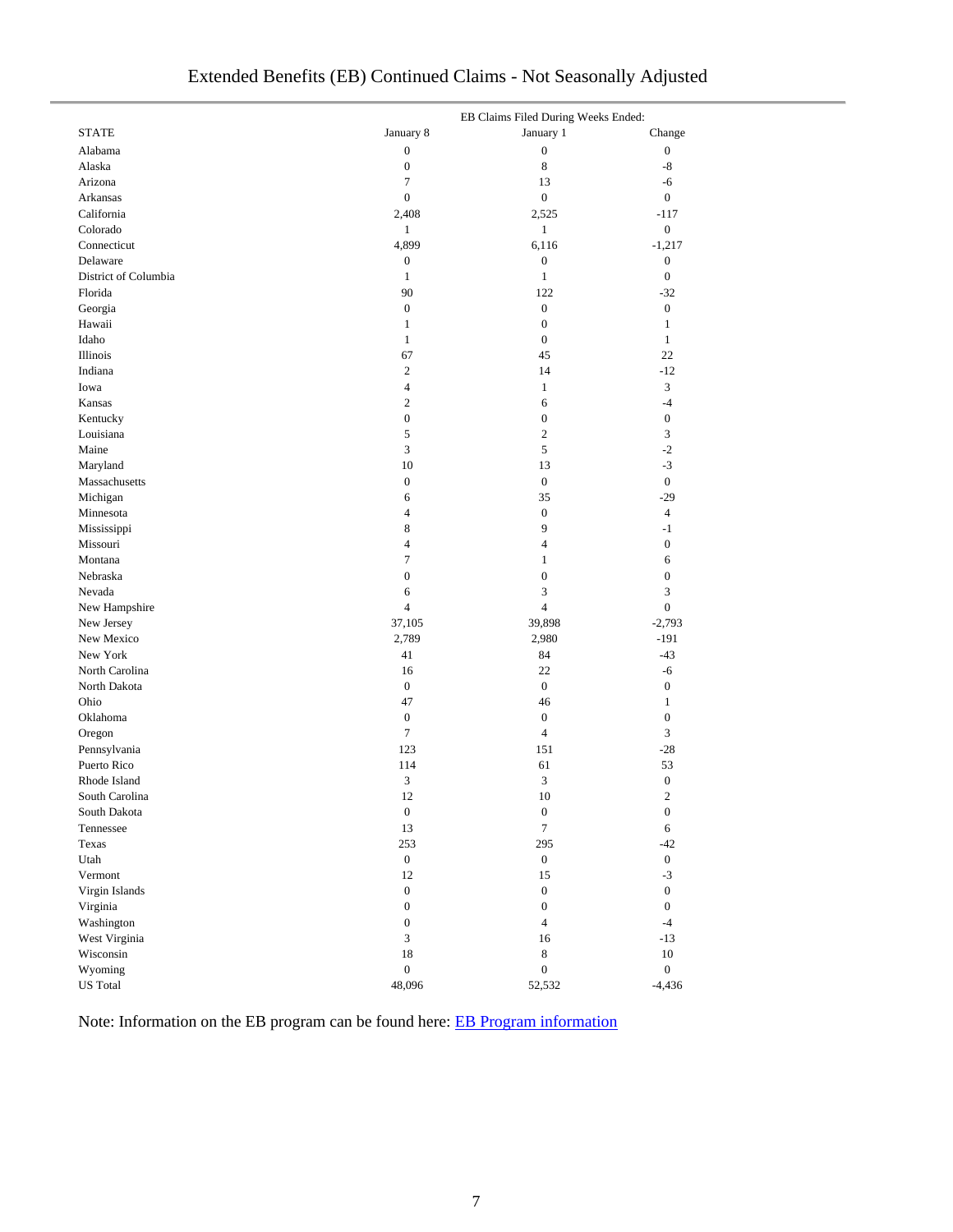| Extended Benefits (EB) Continued Claims - Not Seasonally Adjusted |
|-------------------------------------------------------------------|
|-------------------------------------------------------------------|

|                      |                  | EB Claims Filed During Weeks Ended: |                  |
|----------------------|------------------|-------------------------------------|------------------|
| <b>STATE</b>         | January 8        | January 1                           | Change           |
| Alabama              | $\boldsymbol{0}$ | $\boldsymbol{0}$                    | $\boldsymbol{0}$ |
| Alaska               | $\boldsymbol{0}$ | $\,$ 8 $\,$                         | -8               |
| Arizona              | $\tau$           | 13                                  | -6               |
| Arkansas             | $\boldsymbol{0}$ | $\boldsymbol{0}$                    | $\boldsymbol{0}$ |
| California           | 2,408            | 2,525                               | $-117$           |
| Colorado             | $\mathbf{1}$     | $\mathbf{1}$                        | $\boldsymbol{0}$ |
| Connecticut          | 4,899            | 6,116                               | $-1,217$         |
| Delaware             | $\boldsymbol{0}$ | $\boldsymbol{0}$                    | $\boldsymbol{0}$ |
| District of Columbia | $\mathbf{1}$     | $\mathbf{1}$                        | $\boldsymbol{0}$ |
| Florida              | 90               | 122                                 | $-32$            |
| Georgia              | $\boldsymbol{0}$ | $\boldsymbol{0}$                    | $\boldsymbol{0}$ |
| Hawaii               | 1                | $\boldsymbol{0}$                    | $\mathbf{1}$     |
| Idaho                | $\mathbf{1}$     | $\boldsymbol{0}$                    | $\mathbf{1}$     |
| Illinois             | 67               | 45                                  | 22               |
| Indiana              | $\mathbf{2}$     | 14                                  | $-12$            |
| Iowa                 | $\overline{4}$   | $\mathbf{1}$                        | $\mathfrak{Z}$   |
| Kansas               | $\mathbf{2}$     | 6                                   | $-4$             |
| Kentucky             | $\boldsymbol{0}$ | $\boldsymbol{0}$                    | $\mathbf{0}$     |
| Louisiana            | 5                | 2                                   | 3                |
| Maine                | $\mathfrak{Z}$   | $\sqrt{5}$                          | $-2$             |
| Maryland             | 10               | 13                                  | $-3$             |
| Massachusetts        | $\boldsymbol{0}$ | $\boldsymbol{0}$                    | $\mathbf{0}$     |
| Michigan             | 6                | 35                                  | $-29$            |
| Minnesota            | $\overline{4}$   | $\boldsymbol{0}$                    | $\overline{4}$   |
| Mississippi          | $\,$ 8 $\,$      | 9                                   | $-1$             |
| Missouri             | $\overline{4}$   | $\overline{4}$                      | $\boldsymbol{0}$ |
| Montana              | $\tau$           | $\mathbf{1}$                        | 6                |
| Nebraska             | $\boldsymbol{0}$ | $\boldsymbol{0}$                    | $\boldsymbol{0}$ |
| Nevada               | 6                | 3                                   | $\mathfrak{Z}$   |
| New Hampshire        | $\overline{4}$   | $\overline{4}$                      | $\mathbf{0}$     |
| New Jersey           | 37,105           | 39,898                              | $-2,793$         |
| New Mexico           | 2,789            | 2,980                               | $-191$           |
| New York             | 41               | 84                                  | $-43$            |
| North Carolina       | 16               | 22                                  | -6               |
| North Dakota         | $\boldsymbol{0}$ | $\mathbf{0}$                        | $\boldsymbol{0}$ |
| Ohio                 | 47               | 46                                  | $\mathbf{1}$     |
| Oklahoma             | $\boldsymbol{0}$ | $\boldsymbol{0}$                    | $\boldsymbol{0}$ |
| Oregon               | $\tau$           | $\overline{4}$                      | 3                |
| Pennsylvania         | 123              | 151                                 | $-28$            |
| Puerto Rico          | 114              | 61                                  | 53               |
| Rhode Island         | 3                | $\mathfrak{Z}$                      | $\boldsymbol{0}$ |
| South Carolina       | 12               | 10                                  | $\overline{c}$   |
| South Dakota         | $\boldsymbol{0}$ | $\boldsymbol{0}$                    | $\boldsymbol{0}$ |
| Tennessee            | 13               | $\overline{7}$                      | 6                |
| Texas                | 253              | 295                                 | $-42$            |
| Utah                 | $\mathbf{0}$     | $\mathbf{0}$                        | $\mathbf{0}$     |
| Vermont              | 12               | 15                                  | $-3$             |
| Virgin Islands       | $\boldsymbol{0}$ | $\boldsymbol{0}$                    | $\mathbf{0}$     |
| Virginia             | $\boldsymbol{0}$ | $\boldsymbol{0}$                    | $\mathbf{0}$     |
| Washington           | $\boldsymbol{0}$ | $\overline{4}$                      | $-4$             |
| West Virginia        | 3                | 16                                  | $-13$            |
| Wisconsin            | $18\,$           | $8\,$                               | $10\,$           |
| Wyoming              | $\boldsymbol{0}$ | $\boldsymbol{0}$                    | $\boldsymbol{0}$ |
| <b>US</b> Total      | 48,096           | 52,532                              | $-4,436$         |

Note: Information on the EB program can be found here: [EB Program information](https://oui.doleta.gov/unemploy/extenben.asp)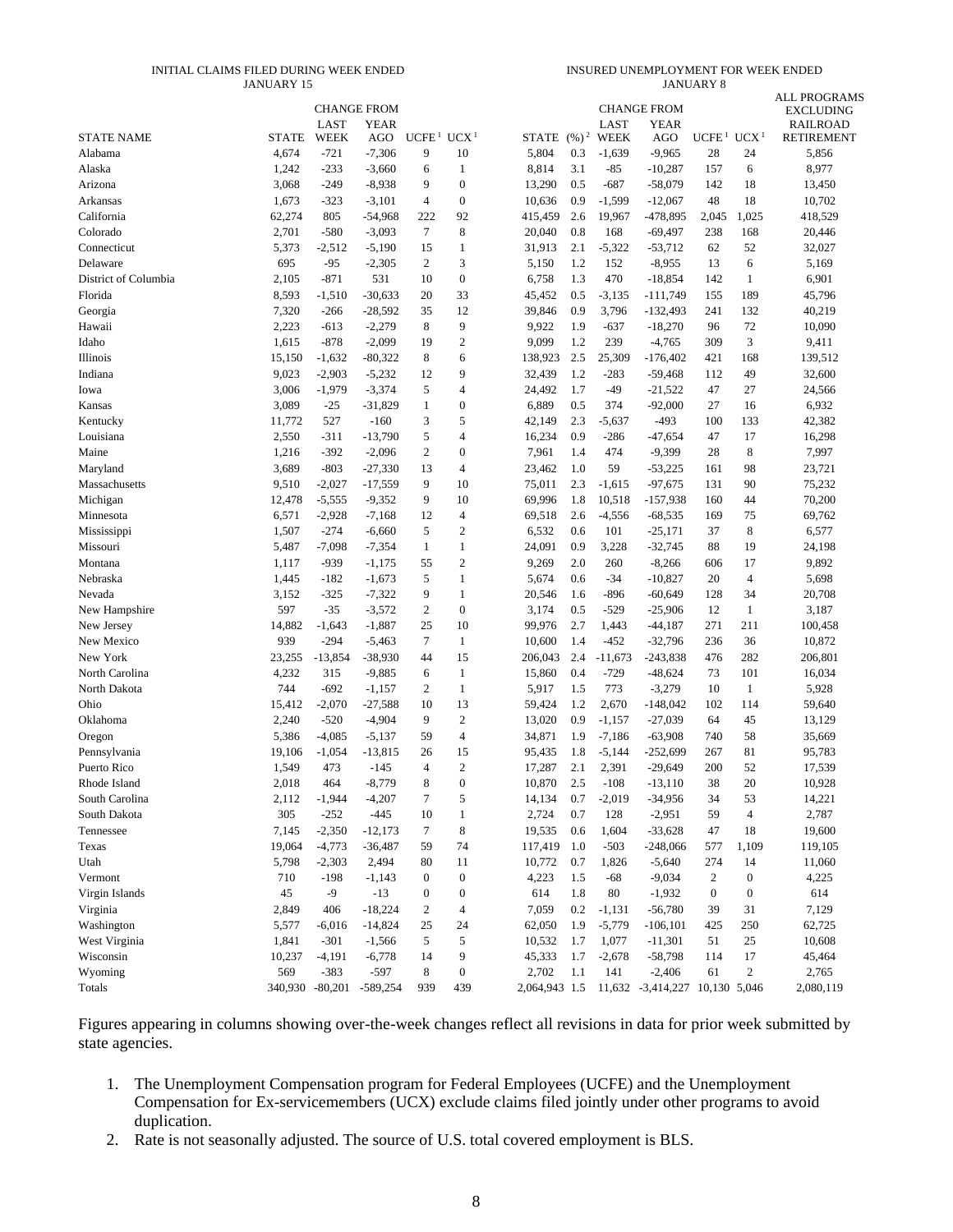#### INITIAL CLAIMS FILED DURING WEEK ENDED JANUARY 15

INSURED UNEMPLOYMENT FOR WEEK ENDED JANUARY 8

|                      |              |                 |                    |                   |                  |               |          |                     |                                   |                   |                  | <b>ALL PROGRAMS</b>                  |
|----------------------|--------------|-----------------|--------------------|-------------------|------------------|---------------|----------|---------------------|-----------------------------------|-------------------|------------------|--------------------------------------|
|                      |              |                 | <b>CHANGE FROM</b> |                   |                  |               |          |                     | <b>CHANGE FROM</b><br><b>YEAR</b> |                   |                  | <b>EXCLUDING</b>                     |
| <b>STATE NAME</b>    | <b>STATE</b> | LAST<br>WEEK    | <b>YEAR</b><br>AGO | UCFE <sup>1</sup> | UCX <sup>1</sup> | <b>STATE</b>  | $(96)^2$ | LAST<br><b>WEEK</b> | AGO                               | UCFE <sup>1</sup> | UCX <sup>1</sup> | <b>RAILROAD</b><br><b>RETIREMENT</b> |
| Alabama              | 4,674        | $-721$          | $-7,306$           | 9                 | 10               | 5,804         | 0.3      | $-1,639$            | $-9,965$                          | 28                | 24               | 5,856                                |
| Alaska               | 1,242        | $-233$          | $-3,660$           | 6                 | $\mathbf{1}$     | 8,814         | 3.1      | -85                 | $-10,287$                         | 157               | 6                | 8,977                                |
| Arizona              | 3,068        | $-249$          | $-8,938$           | 9                 | $\boldsymbol{0}$ | 13,290        | 0.5      | $-687$              | $-58,079$                         | 142               | 18               | 13,450                               |
| Arkansas             | 1,673        | $-323$          | $-3,101$           | $\overline{4}$    | $\boldsymbol{0}$ | 10,636        | 0.9      | $-1,599$            | $-12,067$                         | 48                | 18               | 10,702                               |
| California           | 62,274       | 805             | $-54,968$          | 222               | 92               | 415,459       | 2.6      | 19,967              | $-478,895$                        | 2,045             | 1,025            | 418,529                              |
| Colorado             | 2,701        | $-580$          | $-3,093$           | 7                 | $\,$ 8 $\,$      | 20,040        | 0.8      | 168                 | -69,497                           | 238               | 168              | 20,446                               |
| Connecticut          | 5,373        | $-2,512$        | $-5,190$           | 15                | $\mathbf{1}$     | 31,913        | 2.1      | $-5,322$            | $-53,712$                         | 62                | 52               | 32,027                               |
| Delaware             | 695          | $-95$           | $-2,305$           | $\mathfrak{2}$    | 3                | 5,150         | 1.2      | 152                 | $-8,955$                          | 13                | 6                | 5,169                                |
| District of Columbia | 2,105        | $-871$          | 531                | 10                | $\boldsymbol{0}$ | 6,758         | 1.3      | 470                 | $-18,854$                         | 142               | 1                | 6,901                                |
| Florida              | 8,593        | $-1,510$        | $-30,633$          | 20                | 33               | 45,452        | 0.5      | $-3,135$            | $-111,749$                        | 155               | 189              | 45,796                               |
| Georgia              | 7,320        | $-266$          | $-28,592$          | 35                | 12               | 39,846        | 0.9      | 3,796               | $-132,493$                        | 241               | 132              | 40,219                               |
| Hawaii               | 2,223        | $-613$          | $-2,279$           | 8                 | 9                | 9,922         | 1.9      | $-637$              | $-18,270$                         | 96                | 72               | 10,090                               |
| Idaho                | 1,615        | $-878$          | $-2,099$           | 19                | $\sqrt{2}$       | 9,099         | 1.2      | 239                 | $-4,765$                          | 309               | $\mathfrak{Z}$   | 9,411                                |
| Illinois             | 15,150       | $-1,632$        | $-80,322$          | 8                 | 6                | 138,923       | 2.5      | 25,309              | $-176,402$                        | 421               | 168              | 139,512                              |
| Indiana              | 9,023        | $-2,903$        | $-5,232$           | 12                | 9                | 32,439        | 1.2      | $-283$              | $-59,468$                         | 112               | 49               | 32,600                               |
| Iowa                 | 3,006        | $-1,979$        | $-3,374$           | 5                 | $\overline{4}$   | 24,492        | 1.7      | -49                 | $-21,522$                         | 47                | 27               | 24,566                               |
| Kansas               | 3,089        | $-25$           | $-31,829$          | $\mathbf{1}$      | $\boldsymbol{0}$ | 6,889         | 0.5      | 374                 | $-92,000$                         | 27                | 16               | 6,932                                |
| Kentucky             | 11,772       | 527             | $-160$             | 3                 | $\sqrt{5}$       | 42,149        | 2.3      | $-5,637$            | $-493$                            | 100               | 133              | 42,382                               |
| Louisiana            | 2,550        | $-311$          | $-13,790$          | 5                 | $\overline{4}$   | 16,234        | 0.9      | $-286$              | $-47,654$                         | 47                | 17               | 16,298                               |
| Maine                | 1,216        | $-392$          | $-2,096$           | $\overline{2}$    | $\boldsymbol{0}$ | 7,961         | 1.4      | 474                 | $-9,399$                          | 28                | $\,$ 8 $\,$      | 7,997                                |
| Maryland             | 3,689        | $-803$          | $-27,330$          | 13                | $\overline{4}$   | 23,462        | 1.0      | 59                  | $-53,225$                         | 161               | 98               | 23,721                               |
| Massachusetts        | 9,510        | $-2,027$        | $-17,559$          | 9                 | 10               | 75,011        | 2.3      | $-1,615$            | $-97,675$                         | 131               | 90               | 75,232                               |
| Michigan             | 12,478       | $-5,555$        | $-9,352$           | 9                 | 10               | 69,996        | 1.8      | 10,518              | $-157,938$                        | 160               | 44               | 70,200                               |
| Minnesota            | 6,571        | $-2,928$        | $-7,168$           | 12                | $\overline{4}$   | 69,518        | 2.6      | $-4,556$            | $-68,535$                         | 169               | 75               | 69,762                               |
| Mississippi          | 1,507        | $-274$          | $-6,660$           | 5                 | $\boldsymbol{2}$ | 6,532         | 0.6      | 101                 | $-25,171$                         | 37                | $\,$ 8 $\,$      | 6,577                                |
| Missouri             | 5,487        | $-7,098$        | $-7,354$           | $\mathbf{1}$      | $\mathbf{1}$     | 24,091        | 0.9      | 3,228               | $-32,745$                         | 88                | 19               | 24,198                               |
| Montana              | 1,117        | $-939$          | $-1,175$           | 55                | $\boldsymbol{2}$ | 9,269         | 2.0      | 260                 | $-8,266$                          | 606               | 17               | 9,892                                |
| Nebraska             | 1,445        | $-182$          | $-1,673$           | 5                 | $\mathbf{1}$     | 5,674         | 0.6      | $-34$               | $-10,827$                         | 20                | $\overline{4}$   | 5,698                                |
| Nevada               | 3,152        | $-325$          | $-7,322$           | 9                 | $\mathbf{1}$     | 20,546        | 1.6      | -896                | $-60,649$                         | 128               | 34               | 20,708                               |
| New Hampshire        | 597          | $-35$           | $-3,572$           | $\mathbf{2}$      | $\boldsymbol{0}$ | 3,174         | 0.5      | -529                | $-25,906$                         | 12                | $\mathbf{1}$     | 3,187                                |
| New Jersey           | 14,882       | $-1,643$        | $-1,887$           | 25                | 10               | 99,976        | 2.7      | 1,443               | $-44,187$                         | 271               | 211              | 100,458                              |
| New Mexico           | 939          | $-294$          | $-5,463$           | 7                 | $\mathbf{1}$     | 10,600        | 1.4      | -452                | $-32,796$                         | 236               | 36               | 10,872                               |
| New York             | 23,255       | $-13,854$       | $-38,930$          | 44                | 15               | 206,043       | 2.4      | $-11,673$           | $-243,838$                        | 476               | 282              | 206,801                              |
| North Carolina       | 4,232        | 315             | $-9,885$           | 6                 | $\mathbf{1}$     | 15,860        | 0.4      | $-729$              | $-48,624$                         | 73                | 101              | 16,034                               |
| North Dakota         | 744          | $-692$          | $-1,157$           | $\mathbf{2}$      | $\mathbf{1}$     | 5,917         | 1.5      | 773                 | $-3,279$                          | 10                | $\mathbf{1}$     | 5,928                                |
| Ohio                 | 15,412       | $-2,070$        | $-27,588$          | 10                | 13               | 59,424        | 1.2      | 2,670               | $-148,042$                        | 102               | 114              | 59,640                               |
| Oklahoma             | 2,240        | $-520$          | $-4,904$           | 9                 | $\mathbf{2}$     | 13,020        | 0.9      | $-1,157$            | $-27,039$                         | 64                | 45               | 13,129                               |
| Oregon               | 5,386        | $-4,085$        | $-5,137$           | 59                | 4                | 34,871        | 1.9      | $-7,186$            | $-63,908$                         | 740               | 58               | 35,669                               |
| Pennsylvania         | 19,106       | $-1,054$        | $-13,815$          | 26                | 15               | 95,435        | 1.8      | $-5,144$            | $-252,699$                        | 267               | 81               | 95,783                               |
| Puerto Rico          | 1,549        | 473             | $-145$             | 4                 | $\mathbf{2}$     | 17,287        | 2.1      | 2,391               | $-29,649$                         | 200               | 52               | 17,539                               |
| Rhode Island         | 2,018        | 464             | $-8,779$           | 8                 | $\Omega$         | 10,870        | 2.5      | $-108$              | $-13,110$                         | 38                | 20               | 10,928                               |
| South Carolina       | 2,112        | $-1,944$        | $-4,207$           | $\tau$            | $\sqrt{5}$       | 14,134        | 0.7      | $-2,019$            | $-34,956$                         | 34                | 53               | 14,221                               |
| South Dakota         | 305          | $-252$          | $-445$             | 10                | $\mathbf{1}$     | 2,724         | 0.7      | 128                 | $-2,951$                          | 59                | $\sqrt{4}$       | 2,787                                |
| Tennessee            | 7,145        | $-2,350$        | $-12,173$          | 7                 | 8                | 19,535        | 0.6      | 1,604               | $-33,628$                         | 47                | 18               | 19,600                               |
| Texas                | 19,064       | $-4,773$        | $-36,487$          | 59                | 74               | 117,419       | 1.0      | $-503$              | $-248,066$                        | 577               | 1,109            | 119,105                              |
| Utah                 | 5,798        | $-2,303$        | 2,494              | 80                | 11               | 10,772        | 0.7      | 1,826               | $-5,640$                          | 274               | 14               | 11,060                               |
| Vermont              | 710          | $-198$          | $-1,143$           | $\mathbf{0}$      | $\boldsymbol{0}$ | 4,223         | 1.5      | -68                 | $-9,034$                          | $\boldsymbol{2}$  | $\boldsymbol{0}$ | 4,225                                |
| Virgin Islands       | 45           | $-9$            | $-13$              | $\boldsymbol{0}$  | $\boldsymbol{0}$ | 614           | 1.8      | $80\,$              | $-1,932$                          | $\boldsymbol{0}$  | $\boldsymbol{0}$ | 614                                  |
| Virginia             | 2,849        | 406             | $-18,224$          | 2                 | $\overline{4}$   | 7,059         | 0.2      | $-1,131$            | $-56,780$                         | 39                | 31               | 7,129                                |
| Washington           | 5,577        | $-6,016$        | $-14,824$          | 25                | 24               | 62,050        | 1.9      | $-5,779$            | $-106, 101$                       | 425               | 250              | 62,725                               |
| West Virginia        | 1,841        | $-301$          | $-1,566$           | 5                 | $\sqrt{5}$       | 10,532        | 1.7      | 1,077               | $-11,301$                         | 51                | $25\,$           | 10,608                               |
| Wisconsin            | 10,237       | $-4,191$        | $-6,778$           | 14                | 9                | 45,333        | 1.7      | $-2,678$            | $-58,798$                         | 114               | 17               | 45,464                               |
| Wyoming              | 569          | $-383$          | $-597$             | 8                 | $\boldsymbol{0}$ | 2,702         | 1.1      | 141                 | $-2,406$                          | 61                | $\sqrt{2}$       | 2,765                                |
| Totals               |              | 340,930 -80,201 | $-589,254$         | 939               | 439              | 2,064,943 1.5 |          |                     | 11,632 -3,414,227 10,130 5,046    |                   |                  | 2,080,119                            |

Figures appearing in columns showing over-the-week changes reflect all revisions in data for prior week submitted by state agencies.

- 1. The Unemployment Compensation program for Federal Employees (UCFE) and the Unemployment Compensation for Ex-servicemembers (UCX) exclude claims filed jointly under other programs to avoid duplication.
- 2. Rate is not seasonally adjusted. The source of U.S. total covered employment is BLS.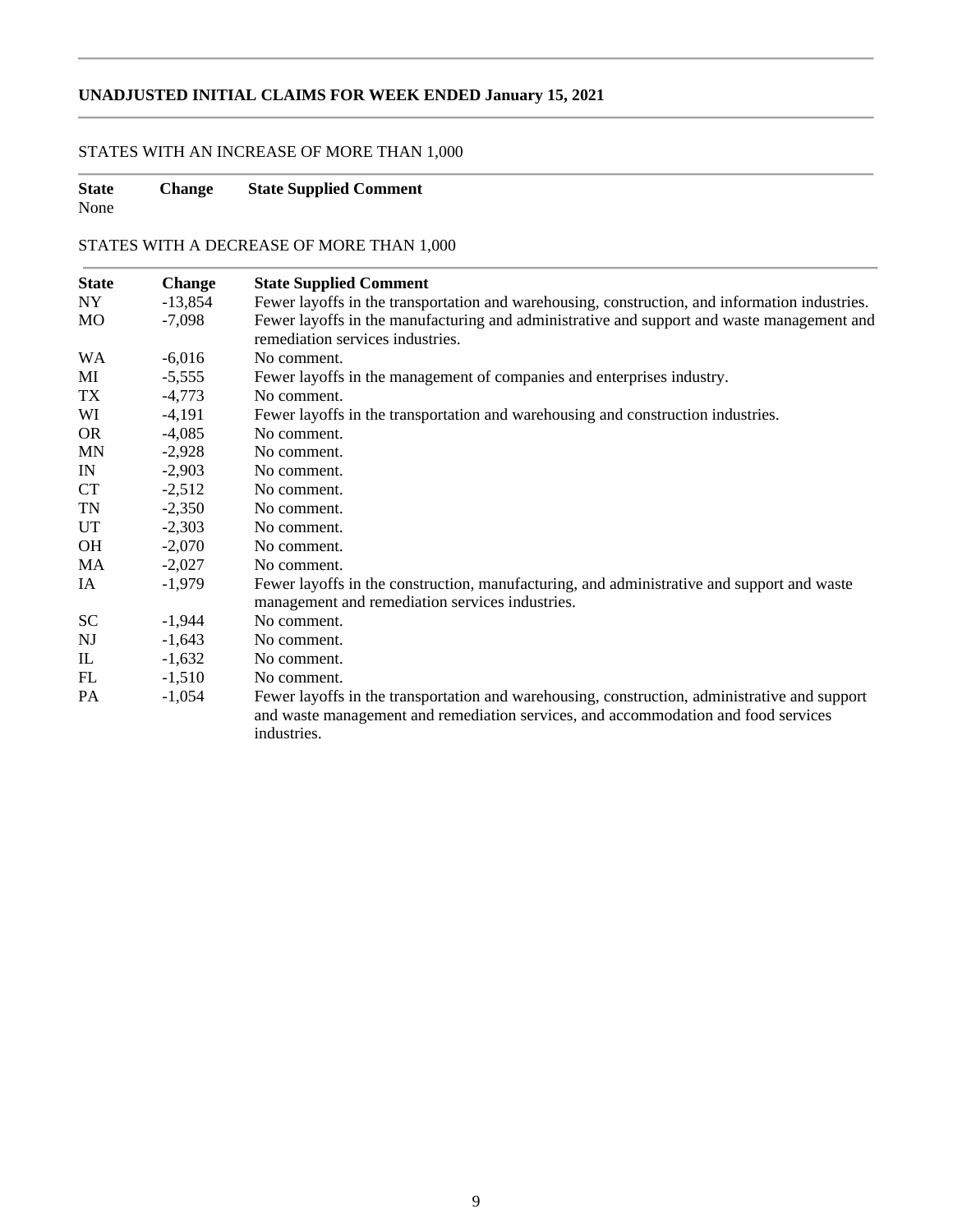# **UNADJUSTED INITIAL CLAIMS FOR WEEK ENDED January 15, 2021**

# STATES WITH AN INCREASE OF MORE THAN 1,000

# **State Change State Supplied Comment**

None

# STATES WITH A DECREASE OF MORE THAN 1,000

| <b>State</b> | Change    | <b>State Supplied Comment</b>                                                                                                                 |
|--------------|-----------|-----------------------------------------------------------------------------------------------------------------------------------------------|
| NY           | $-13,854$ | Fewer layoffs in the transportation and warehousing, construction, and information industries.                                                |
| <b>MO</b>    | $-7,098$  | Fewer layoffs in the manufacturing and administrative and support and waste management and<br>remediation services industries.                |
| <b>WA</b>    | $-6,016$  | No comment.                                                                                                                                   |
| MI           | $-5,555$  | Fewer layoffs in the management of companies and enterprises industry.                                                                        |
| TX           | $-4,773$  | No comment.                                                                                                                                   |
| WI           | $-4,191$  | Fewer layoffs in the transportation and warehousing and construction industries.                                                              |
| <b>OR</b>    | $-4,085$  | No comment.                                                                                                                                   |
| <b>MN</b>    | $-2,928$  | No comment.                                                                                                                                   |
| IN           | $-2,903$  | No comment.                                                                                                                                   |
| <b>CT</b>    | $-2,512$  | No comment.                                                                                                                                   |
| TN           | $-2,350$  | No comment.                                                                                                                                   |
| <b>UT</b>    | $-2,303$  | No comment.                                                                                                                                   |
| OH           | $-2,070$  | No comment.                                                                                                                                   |
| MA           | $-2,027$  | No comment.                                                                                                                                   |
| IA           | $-1,979$  | Fewer layoffs in the construction, manufacturing, and administrative and support and waste<br>management and remediation services industries. |
| <b>SC</b>    | $-1,944$  | No comment.                                                                                                                                   |
| NJ           | $-1,643$  | No comment.                                                                                                                                   |
| IL           | $-1,632$  | No comment.                                                                                                                                   |
| FL           | $-1,510$  | No comment.                                                                                                                                   |
| PA           | $-1,054$  | Fewer layoffs in the transportation and warehousing, construction, administrative and support                                                 |
|              |           | and waste management and remediation services, and accommodation and food services<br>industries.                                             |